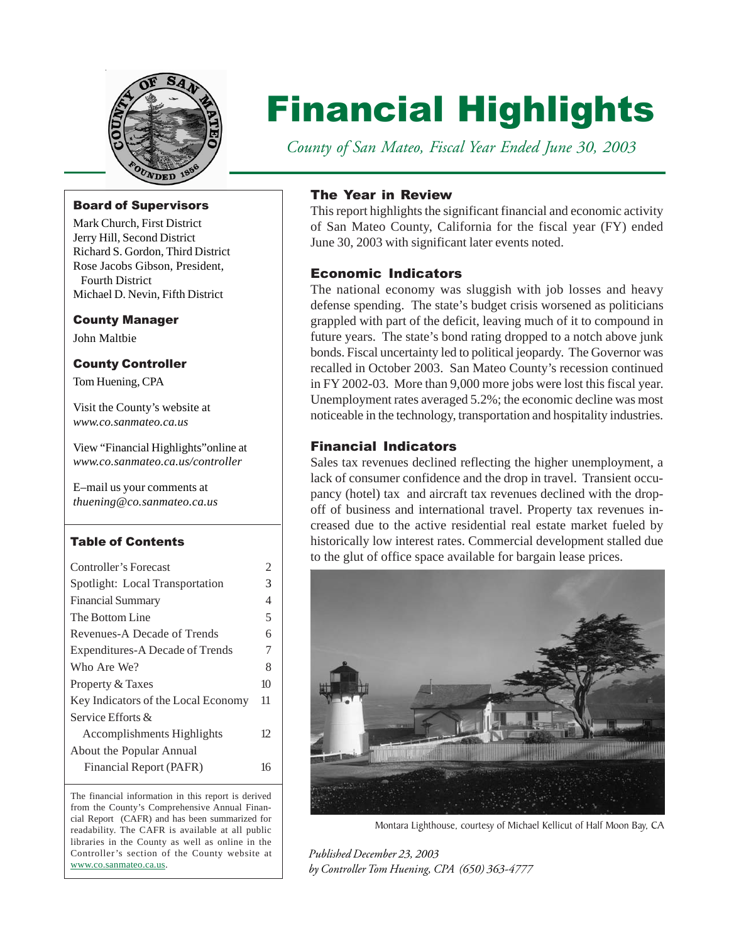

# Financial Highlights

 *County of San Mateo, Fiscal Year Ended June 30, 2003*

### Board of Supervisors

Mark Church, First District Jerry Hill, Second District Richard S. Gordon, Third District Rose Jacobs Gibson, President, Fourth District Michael D. Nevin, Fifth District

#### County Manager

John Maltbie

### County Controller

Tom Huening, CPA

Visit the County's website at *[www.co.sanmateo.ca.us](http://www.co.sanmateo.ca.us/)*

View "Financial Highlights"online at *[www.co.sanmateo.ca.us/controller](http://www.co.sanmateo.ca.us/controller/)*

E–mail us your comments at *[thuening@co.sanmateo.ca.us](mailto:thuening@co.sanmateo.ca.us)*

#### Table of Contents

| Controller's Forecast               | 2  |
|-------------------------------------|----|
| Spotlight: Local Transportation     | 3  |
| <b>Financial Summary</b>            | 4  |
| The Bottom Line                     | 5  |
| Revenues-A Decade of Trends         | 6  |
| Expenditures-A Decade of Trends     | 7  |
| Who Are We?                         | 8  |
| Property & Taxes                    | 10 |
| Key Indicators of the Local Economy | 11 |
| Service Efforts &                   |    |
| Accomplishments Highlights          | 12 |
| About the Popular Annual            |    |
| Financial Report (PAFR)             | 16 |
|                                     |    |

The financial information in this report is derived from the County's Comprehensive Annual Financial Report (CAFR) and has been summarized for readability. The CAFR is available at all public libraries in the County as well as online in the Controller's section of the County website at [www.co.sanmateo.ca.us.](http://www.co.sanmateo.ca.us/)

### The Year in Review

This report highlights the significant financial and economic activity of San Mateo County, California for the fiscal year (FY) ended June 30, 2003 with significant later events noted.

## Economic Indicators

The national economy was sluggish with job losses and heavy defense spending. The state's budget crisis worsened as politicians grappled with part of the deficit, leaving much of it to compound in future years. The state's bond rating dropped to a notch above junk bonds. Fiscal uncertainty led to political jeopardy. The Governor was recalled in October 2003. San Mateo County's recession continued in FY 2002-03. More than 9,000 more jobs were lost this fiscal year. Unemployment rates averaged 5.2%; the economic decline was most noticeable in the technology, transportation and hospitality industries.

## Financial Indicators

Sales tax revenues declined reflecting the higher unemployment, a lack of consumer confidence and the drop in travel. Transient occupancy (hotel) tax and aircraft tax revenues declined with the dropoff of business and international travel. Property tax revenues increased due to the active residential real estate market fueled by historically low interest rates. Commercial development stalled due to the glut of office space available for bargain lease prices.



Montara Lighthouse, courtesy of Michael Kellicut of Half Moon Bay, CA

*Published December 23, 2003 by Controller Tom Huening, CPA (650) 363-4777*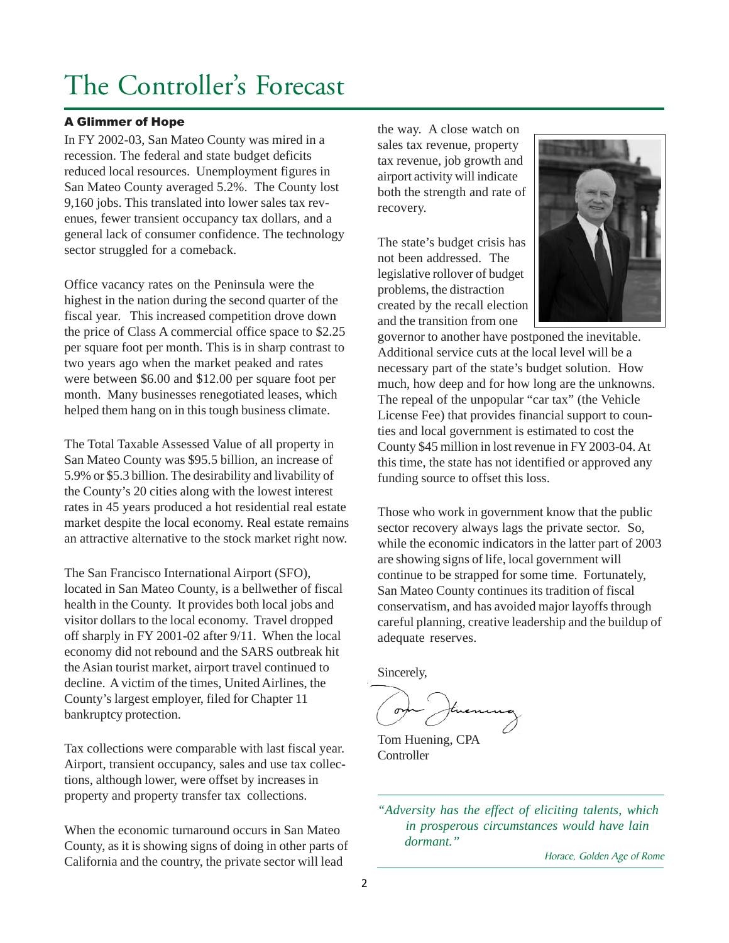## <span id="page-1-0"></span>The Controller's Forecast

### A Glimmer of Hope

In FY 2002-03, San Mateo County was mired in a recession. The federal and state budget deficits reduced local resources. Unemployment figures in San Mateo County averaged 5.2%. The County lost 9,160 jobs. This translated into lower sales tax revenues, fewer transient occupancy tax dollars, and a general lack of consumer confidence. The technology sector struggled for a comeback.

Office vacancy rates on the Peninsula were the highest in the nation during the second quarter of the fiscal year. This increased competition drove down the price of Class A commercial office space to \$2.25 per square foot per month. This is in sharp contrast to two years ago when the market peaked and rates were between \$6.00 and \$12.00 per square foot per month. Many businesses renegotiated leases, which helped them hang on in this tough business climate.

The Total Taxable Assessed Value of all property in San Mateo County was \$95.5 billion, an increase of 5.9% or \$5.3 billion. The desirability and livability of the County's 20 cities along with the lowest interest rates in 45 years produced a hot residential real estate market despite the local economy. Real estate remains an attractive alternative to the stock market right now.

The San Francisco International Airport (SFO), located in San Mateo County, is a bellwether of fiscal health in the County. It provides both local jobs and visitor dollars to the local economy. Travel dropped off sharply in FY 2001-02 after 9/11. When the local economy did not rebound and the SARS outbreak hit the Asian tourist market, airport travel continued to decline. A victim of the times, United Airlines, the County's largest employer, filed for Chapter 11 bankruptcy protection.

Tax collections were comparable with last fiscal year. Airport, transient occupancy, sales and use tax collections, although lower, were offset by increases in property and property transfer tax collections.

When the economic turnaround occurs in San Mateo County, as it is showing signs of doing in other parts of California and the country, the private sector will lead

the way. A close watch on sales tax revenue, property tax revenue, job growth and airport activity will indicate both the strength and rate of recovery.

The state's budget crisis has not been addressed. The legislative rollover of budget problems, the distraction created by the recall election and the transition from one



governor to another have postponed the inevitable. Additional service cuts at the local level will be a necessary part of the state's budget solution. How much, how deep and for how long are the unknowns. The repeal of the unpopular "car tax" (the Vehicle License Fee) that provides financial support to counties and local government is estimated to cost the County \$45 million in lost revenue in FY 2003-04. At this time, the state has not identified or approved any funding source to offset this loss.

Those who work in government know that the public sector recovery always lags the private sector. So, while the economic indicators in the latter part of 2003 are showing signs of life, local government will continue to be strapped for some time. Fortunately, San Mateo County continues its tradition of fiscal conservatism, and has avoided major layoffs through careful planning, creative leadership and the buildup of adequate reserves.

Sincerely,

Tom Huening, CPA **Controller** 

*"Adversity has the effect of eliciting talents, which in prosperous circumstances would have lain dormant."*

Horace, Golden Age of Rome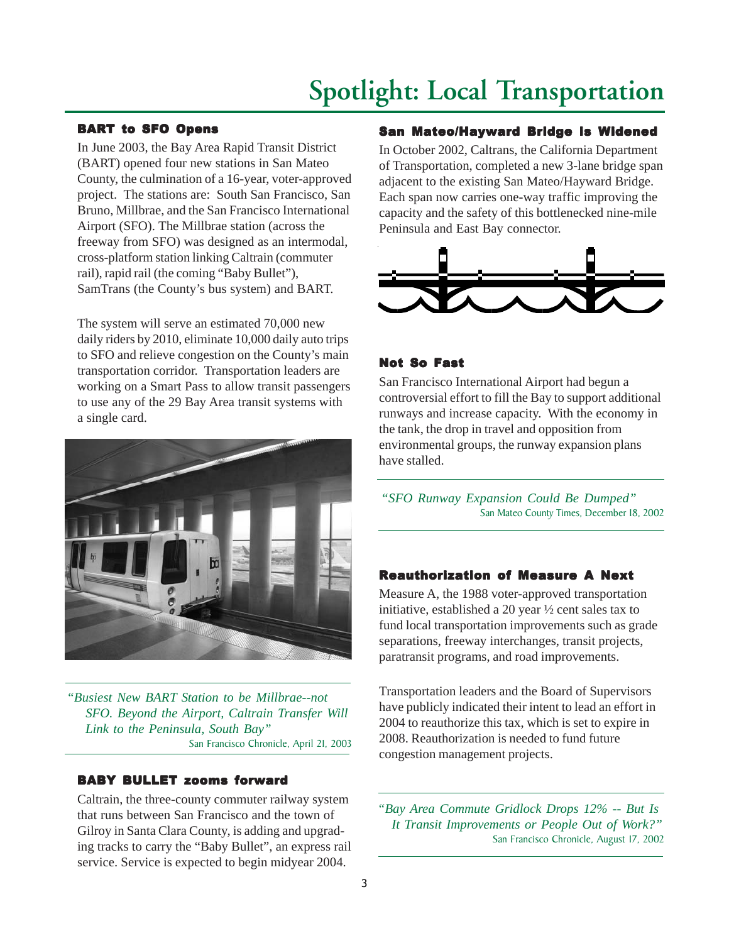## **Spotlight: Local Transportation**

### <span id="page-2-0"></span>BART to SFO Opens

In June 2003, the Bay Area Rapid Transit District (BART) opened four new stations in San Mateo County, the culmination of a 16-year, voter-approved project. The stations are: South San Francisco, San Bruno, Millbrae, and the San Francisco International Airport (SFO). The Millbrae station (across the freeway from SFO) was designed as an intermodal, cross-platform station linking Caltrain (commuter rail), rapid rail (the coming "Baby Bullet"), SamTrans (the County's bus system) and BART.

The system will serve an estimated 70,000 new daily riders by 2010, eliminate 10,000 daily auto trips to SFO and relieve congestion on the County's main transportation corridor. Transportation leaders are working on a Smart Pass to allow transit passengers to use any of the 29 Bay Area transit systems with a single card.



*"Busiest New BART Station to be Millbrae--not SFO. Beyond the Airport, Caltrain Transfer Will Link to the Peninsula, South Bay"* San Francisco Chronicle, April 21, 2003

#### BABY BULLET zooms forward

Caltrain, the three-county commuter railway system that runs between San Francisco and the town of Gilroy in Santa Clara County, is adding and upgrading tracks to carry the "Baby Bullet", an express rail service. Service is expected to begin midyear 2004.

#### San Mateo/Hayward Bridge is Widened

In October 2002, Caltrans, the California Department of Transportation, completed a new 3-lane bridge span adjacent to the existing San Mateo/Hayward Bridge. Each span now carries one-way traffic improving the capacity and the safety of this bottlenecked nine-mile Peninsula and East Bay connector.



#### Not So Fast

San Francisco International Airport had begun a controversial effort to fill the Bay to support additional runways and increase capacity. With the economy in the tank, the drop in travel and opposition from environmental groups, the runway expansion plans have stalled.

*"SFO Runway Expansion Could Be Dumped"* San Mateo County Times, December 18, 2002

#### **Reauthorization of Measure A Next**

Measure A, the 1988 voter-approved transportation initiative, established a 20 year ½ cent sales tax to fund local transportation improvements such as grade separations, freeway interchanges, transit projects, paratransit programs, and road improvements.

Transportation leaders and the Board of Supervisors have publicly indicated their intent to lead an effort in 2004 to reauthorize this tax, which is set to expire in 2008. Reauthorization is needed to fund future congestion management projects.

*"Bay Area Commute Gridlock Drops 12% -- But Is It Transit Improvements or People Out of Work?"* San Francisco Chronicle, August 17, 2002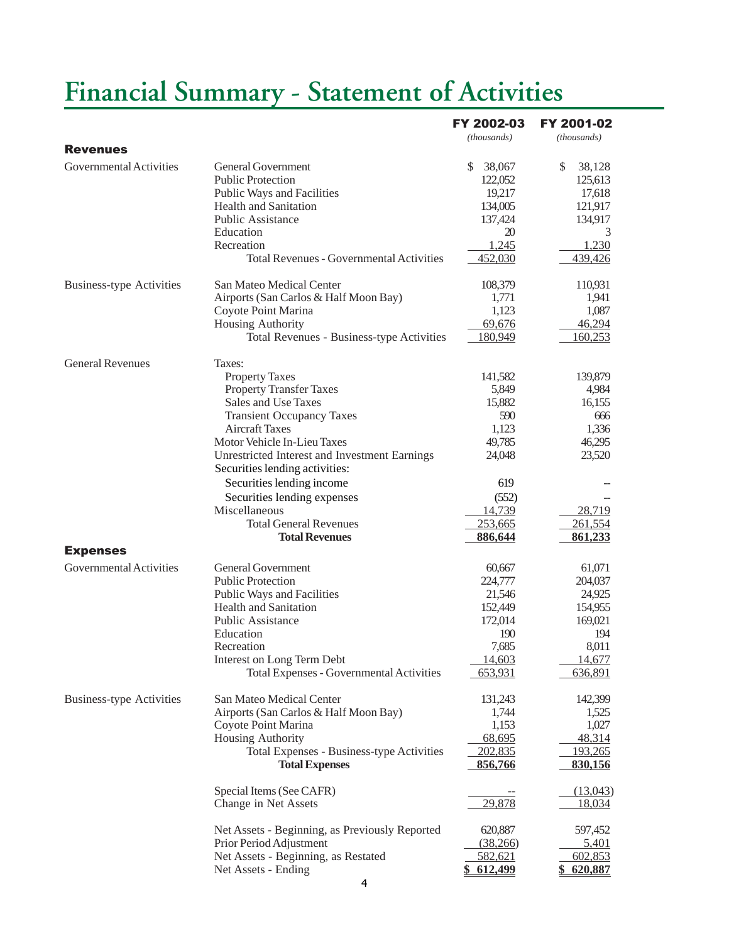## <span id="page-3-0"></span>**Financial Summary - Statement of Activities**

|                                 |                                                     | FY 2002-03   | FY 2001-02    |
|---------------------------------|-----------------------------------------------------|--------------|---------------|
| <b>Revenues</b>                 |                                                     | (thousands)  | (thousands)   |
| Governmental Activities         | <b>General Government</b>                           | 38,067<br>S. | \$<br>38,128  |
|                                 | <b>Public Protection</b>                            | 122,052      | 125,613       |
|                                 |                                                     | 19,217       | 17,618        |
|                                 | Public Ways and Facilities<br>Health and Sanitation | 134,005      | 121,917       |
|                                 | <b>Public Assistance</b>                            | 137,424      | 134,917       |
|                                 | Education                                           | 20           | 3             |
|                                 | Recreation                                          | 1,245        | 1,230         |
|                                 | <b>Total Revenues - Governmental Activities</b>     | 452,030      | 439,426       |
| <b>Business-type Activities</b> | San Mateo Medical Center                            | 108,379      | 110,931       |
|                                 | Airports (San Carlos & Half Moon Bay)               | 1,771        | 1,941         |
|                                 | Coyote Point Marina                                 | 1,123        | 1,087         |
|                                 | Housing Authority                                   | 69,676       | 46,294        |
|                                 | Total Revenues - Business-type Activities           | 180,949      | 160,253       |
| <b>General Revenues</b>         | Taxes:                                              |              |               |
|                                 | <b>Property Taxes</b>                               | 141,582      | 139,879       |
|                                 | <b>Property Transfer Taxes</b>                      | 5,849        | 4,984         |
|                                 | Sales and Use Taxes                                 | 15,882       | 16,155        |
|                                 | <b>Transient Occupancy Taxes</b>                    | 590          | 666           |
|                                 | <b>Aircraft Taxes</b>                               | 1,123        | 1,336         |
|                                 | Motor Vehicle In-Lieu Taxes                         | 49,785       | 46,295        |
|                                 | Unrestricted Interest and Investment Earnings       | 24,048       | 23,520        |
|                                 | Securities lending activities:                      |              |               |
|                                 | Securities lending income                           | 619          |               |
|                                 | Securities lending expenses                         | (552)        |               |
|                                 | Miscellaneous                                       | 14,739       | <u>28,719</u> |
|                                 | <b>Total General Revenues</b>                       | 253,665      | 261,554       |
|                                 | <b>Total Revenues</b>                               | 886,644      | 861,233       |
| <b>Expenses</b>                 |                                                     |              |               |
| Governmental Activities         | <b>General Government</b>                           | 60,667       | 61,071        |
|                                 | <b>Public Protection</b>                            | 224,777      | 204,037       |
|                                 | Public Ways and Facilities                          | 21,546       | 24,925        |
|                                 | Health and Sanitation                               | 152,449      | 154,955       |
|                                 | Public Assistance                                   | 172,014      | 169,021       |
|                                 | Education                                           | 190          | 194           |
|                                 | Recreation                                          | 7,685        | 8,011         |
|                                 | Interest on Long Term Debt                          | 14,603       | 14,677        |
|                                 | <b>Total Expenses - Governmental Activities</b>     | 653,931      | 636,891       |
| <b>Business-type Activities</b> | San Mateo Medical Center                            | 131,243      | 142,399       |
|                                 | Airports (San Carlos & Half Moon Bay)               | 1,744        | 1,525         |
|                                 | Coyote Point Marina                                 | 1,153        | 1,027         |
|                                 | Housing Authority                                   | 68,695       | 48,314        |
|                                 | Total Expenses - Business-type Activities           | 202,835      | 193,265       |
|                                 | <b>Total Expenses</b>                               | 856,766      | 830,156       |
|                                 | Special Items (See CAFR)                            |              | (13,043)      |
|                                 | Change in Net Assets                                | 29,878       | 18,034        |
|                                 | Net Assets - Beginning, as Previously Reported      | 620,887      | 597,452       |
|                                 | Prior Period Adjustment                             | (38,266)     | 5,401         |
|                                 | Net Assets - Beginning, as Restated                 | 582,621      | 602,853       |
|                                 | Net Assets - Ending                                 | 612,499      | 620,887       |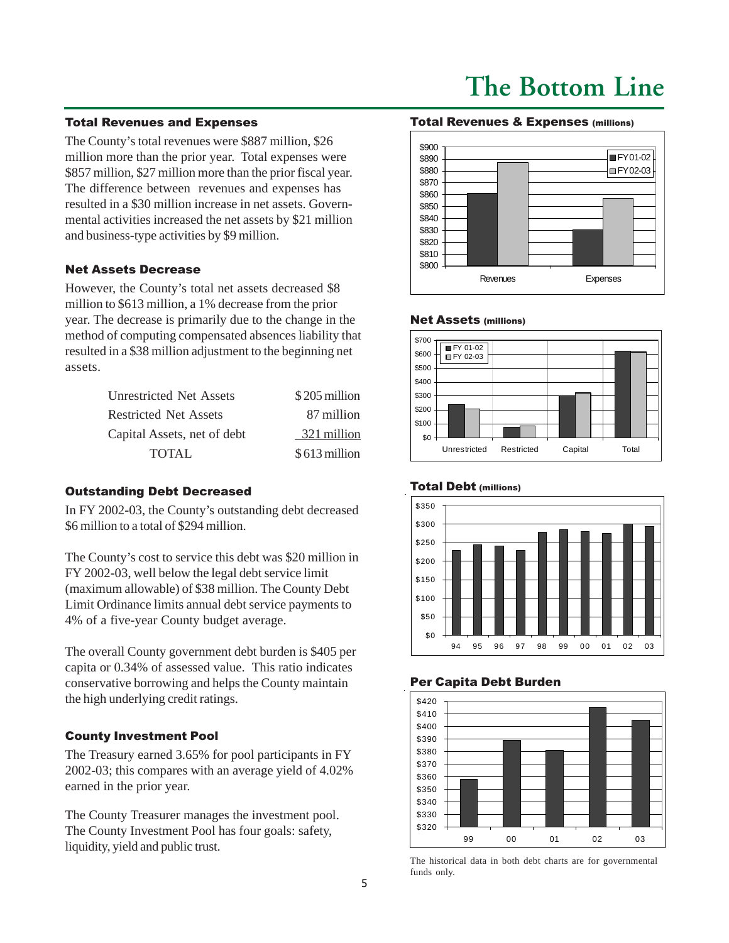## **The Bottom Line**

#### <span id="page-4-0"></span>Total Revenues and Expenses

The County's total revenues were \$887 million, \$26 million more than the prior year. Total expenses were \$857 million, \$27 million more than the prior fiscal year. The difference between revenues and expenses has resulted in a \$30 million increase in net assets. Governmental activities increased the net assets by \$21 million and business-type activities by \$9 million.

#### Net Assets Decrease

However, the County's total net assets decreased \$8 million to \$613 million, a 1% decrease from the prior year. The decrease is primarily due to the change in the method of computing compensated absences liability that resulted in a \$38 million adjustment to the beginning net assets.

| \$205 million |
|---------------|
| 87 million    |
| 321 million   |
| \$613 million |
|               |

#### Outstanding Debt Decreased

In FY 2002-03, the County's outstanding debt decreased \$6 million to a total of \$294 million.

The County's cost to service this debt was \$20 million in FY 2002-03, well below the legal debt service limit (maximum allowable) of \$38 million. The County Debt Limit Ordinance limits annual debt service payments to 4% of a five-year County budget average.

The overall County government debt burden is \$405 per capita or 0.34% of assessed value. This ratio indicates conservative borrowing and helps the County maintain the high underlying credit ratings.

#### County Investment Pool

The Treasury earned 3.65% for pool participants in FY 2002-03; this compares with an average yield of 4.02% earned in the prior year.

The County Treasurer manages the investment pool. The County Investment Pool has four goals: safety, liquidity, yield and public trust.

#### Total Revenues & Expenses (millions)



#### Net Assets (millions)



#### Total Debt (millions)



#### Per Capita Debt Burden



The historical data in both debt charts are for governmental funds only.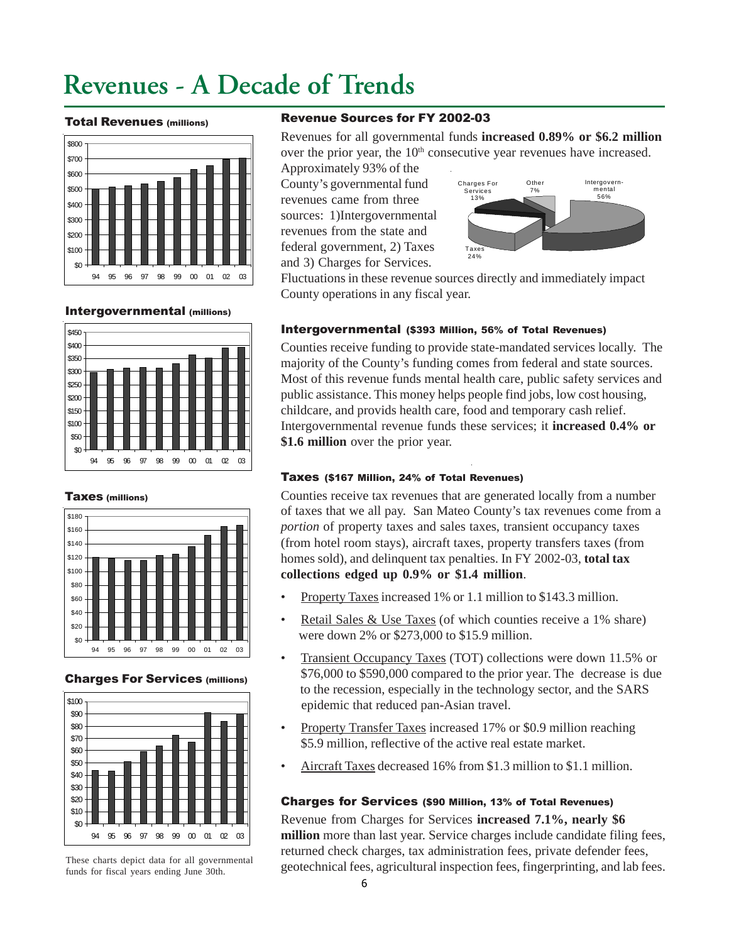## <span id="page-5-0"></span>**Revenues - A Decade of Trends**

#### Total Revenues (millions)



#### Intergovernmental (millions)



#### Taxes (millions)



#### Charges For Services (millions)



These charts depict data for all governmental funds for fiscal years ending June 30th.

#### Revenue Sources for FY 2002-03

Revenues for all governmental funds **increased 0.89% or \$6.2 million** over the prior year, the 10<sup>th</sup> consecutive year revenues have increased. Approximately 93% of the

County's governmental fund revenues came from three sources: 1)Intergovernmental revenues from the state and federal government, 2) Taxes and 3) Charges for Services.



Fluctuations in these revenue sources directly and immediately impact County operations in any fiscal year.

#### Intergovernmental (\$393 Million, 56% of Total Revenues)

Counties receive funding to provide state-mandated services locally. The majority of the County's funding comes from federal and state sources. Most of this revenue funds mental health care, public safety services and public assistance. This money helps people find jobs, low cost housing, childcare, and provids health care, food and temporary cash relief. Intergovernmental revenue funds these services; it **increased 0.4% or \$1.6 million** over the prior year.

#### Taxes (\$167 Million, 24% of Total Revenues)

Counties receive tax revenues that are generated locally from a number of taxes that we all pay. San Mateo County's tax revenues come from a *portion* of property taxes and sales taxes, transient occupancy taxes (from hotel room stays), aircraft taxes, property transfers taxes (from homes sold), and delinquent tax penalties. In FY 2002-03, **total tax collections edged up 0.9% or \$1.4 million**.

- Property Taxes increased 1% or 1.1 million to \$143.3 million.
- Retail Sales & Use Taxes (of which counties receive a 1% share) were down 2% or \$273,000 to \$15.9 million.
- Transient Occupancy Taxes (TOT) collections were down 11.5% or \$76,000 to \$590,000 compared to the prior year. The decrease is due to the recession, especially in the technology sector, and the SARS epidemic that reduced pan-Asian travel.
- Property Transfer Taxes increased 17% or \$0.9 million reaching \$5.9 million, reflective of the active real estate market.
- Aircraft Taxes decreased 16% from \$1.3 million to \$1.1 million.

#### Charges for Services (\$90 Million, 13% of Total Revenues)

Revenue from Charges for Services **increased 7.1%, nearly \$6 million** more than last year. Service charges include candidate filing fees, returned check charges, tax administration fees, private defender fees, geotechnical fees, agricultural inspection fees, fingerprinting, and lab fees.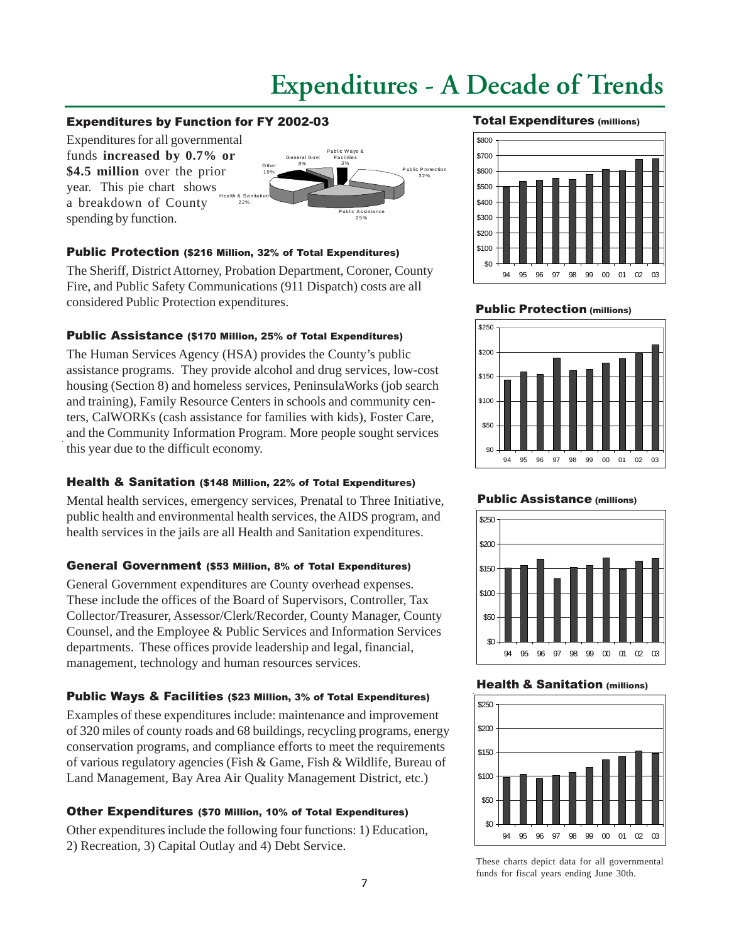## **Expenditures - A Decade of Trends**

#### <span id="page-6-0"></span>Expenditures by Function for FY 2002-03

Expenditures for all governmental funds **increased by 0.7% or \$4.5 million** over the prior year. This pie chart shows a breakdown of County spending by function. H ea lth & S a nita tion 22%



#### Public Protection (\$216 Million, 32% of Total Expenditures)

The Sheriff, District Attorney, Probation Department, Coroner, County Fire, and Public Safety Communications (911 Dispatch) costs are all considered Public Protection expenditures.

### Public Assistance (\$170 Million, 25% of Total Expenditures)

The Human Services Agency (HSA) provides the County's public assistance programs. They provide alcohol and drug services, low-cost housing (Section 8) and homeless services, PeninsulaWorks (job search and training), Family Resource Centers in schools and community centers, CalWORKs (cash assistance for families with kids), Foster Care, and the Community Information Program. More people sought services this year due to the difficult economy.

## Health & Sanitation (\$148 Million, 22% of Total Expenditures)

Mental health services, emergency services, Prenatal to Three Initiative, public health and environmental health services, the AIDS program, and health services in the jails are all Health and Sanitation expenditures.

## General Government (\$53 Million, 8% of Total Expenditures)

General Government expenditures are County overhead expenses. These include the offices of the Board of Supervisors, Controller, Tax Collector/Treasurer, Assessor/Clerk/Recorder, County Manager, County Counsel, and the Employee & Public Services and Information Services departments. These offices provide leadership and legal, financial, management, technology and human resources services.

## Public Ways & Facilities (\$23 Million, 3% of Total Expenditures)

Examples of these expenditures include: maintenance and improvement of 320 miles of county roads and 68 buildings, recycling programs, energy conservation programs, and compliance efforts to meet the requirements of various regulatory agencies (Fish & Game, Fish & Wildlife, Bureau of Land Management, Bay Area Air Quality Management District, etc.)

## Other Expenditures (\$70 Million, 10% of Total Expenditures)

Other expenditures include the following four functions: 1) Education, 2) Recreation, 3) Capital Outlay and 4) Debt Service.

#### Total Expenditures (millions)



#### **Public Protection (millions)**



#### Public Assistance (millions)



#### Health & Sanitation (millions)



These charts depict data for all governmental funds for fiscal years ending June 30th.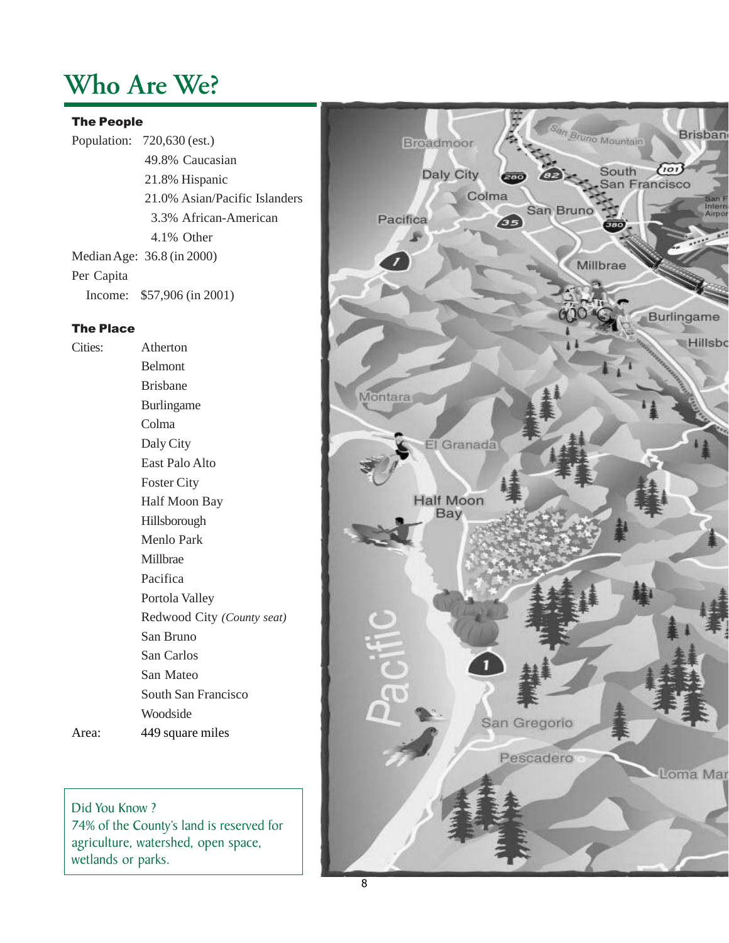## <span id="page-7-0"></span>**Who Are We?**

#### The People

Population: 720,630 (est.) 49.8% Caucasian 21.8% Hispanic 21.0% Asian/Pacific Islanders 3.3% African-American 4.1% Other Median Age: 36.8 (in 2000) Per Capita Income: \$57,906 (in 2001)

## The Place

Cities: Atherton Belmont Brisbane Burlingame Colma Daly City East Palo Alto Foster City Half Moon Bay Hillsborough Menlo Park Millbrae Pacifica Portola Valley Redwood City *(County seat)* San Bruno San Carlos San Mateo South San Francisco Woodside Area: 449 square miles

Did You Know ? 74% of the County's land is reserved for agriculture, watershed, open space, wetlands or parks.

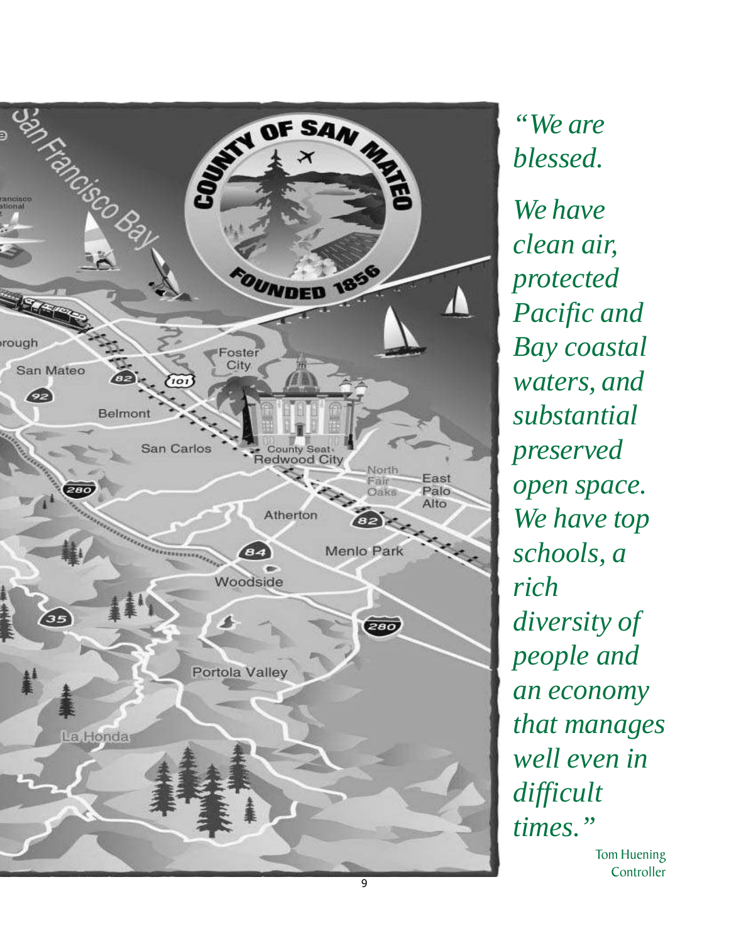

*"We are blessed. We have clean air, protected Pacific and Bay coastal waters, and substantial preserved open space. We have top schools, a rich diversity of people and an economy that manages well even in difficult times."*

> Tom Huening **Controller**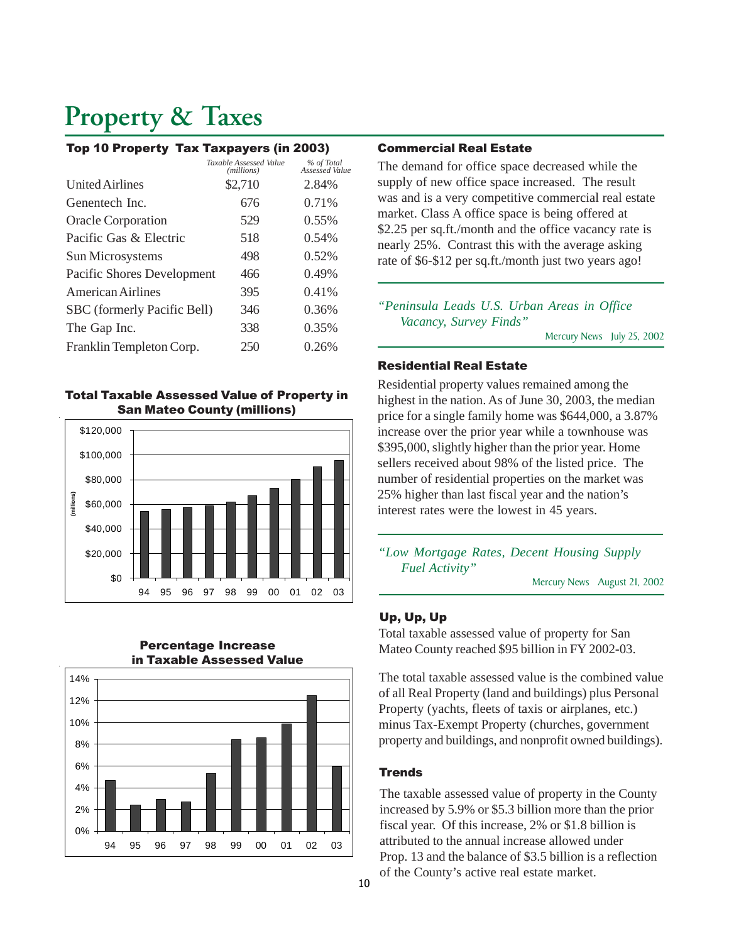## <span id="page-9-0"></span>**Property & Taxes**

#### Top 10 Property Tax Taxpayers (in 2003)

|                             | Taxable Assessed Value<br>(millions) | % of Total<br>Assessed Value |
|-----------------------------|--------------------------------------|------------------------------|
| <b>United Airlines</b>      | \$2,710                              | 2.84%                        |
| Genentech Inc.              | 676                                  | 0.71%                        |
| <b>Oracle Corporation</b>   | 529                                  | $0.55\%$                     |
| Pacific Gas & Electric      | 518                                  | 0.54%                        |
| Sun Microsystems            | 498                                  | 0.52%                        |
| Pacific Shores Development  | 466                                  | 0.49%                        |
| <b>American Airlines</b>    | 395                                  | 0.41%                        |
| SBC (formerly Pacific Bell) | 346                                  | 0.36%                        |
| The Gap Inc.                | 338                                  | 0.35%                        |
| Franklin Templeton Corp.    | 250                                  | 0.26%                        |
|                             |                                      |                              |

#### Total Taxable Assessed Value of Property in San Mateo County (millions)





#### Percentage Increase in Taxable Assessed Value

#### Commercial Real Estate

The demand for office space decreased while the supply of new office space increased. The result was and is a very competitive commercial real estate market. Class A office space is being offered at \$2.25 per sq.ft./month and the office vacancy rate is nearly 25%. Contrast this with the average asking rate of \$6-\$12 per sq.ft./month just two years ago!

*"Peninsula Leads U.S. Urban Areas in Office Vacancy, Survey Finds"*

Mercury News July 25, 2002

#### Residential Real Estate

Residential property values remained among the highest in the nation. As of June 30, 2003, the median price for a single family home was \$644,000, a 3.87% increase over the prior year while a townhouse was \$395,000, slightly higher than the prior year. Home sellers received about 98% of the listed price. The number of residential properties on the market was 25% higher than last fiscal year and the nation's interest rates were the lowest in 45 years.

*"Low Mortgage Rates, Decent Housing Supply Fuel Activity"*

Mercury News August 21, 2002

#### Up, Up, Up

Total taxable assessed value of property for San Mateo County reached \$95 billion in FY 2002-03.

The total taxable assessed value is the combined value of all Real Property (land and buildings) plus Personal Property (yachts, fleets of taxis or airplanes, etc.) minus Tax-Exempt Property (churches, government property and buildings, and nonprofit owned buildings).

#### **Trends**

The taxable assessed value of property in the County increased by 5.9% or \$5.3 billion more than the prior fiscal year. Of this increase, 2% or \$1.8 billion is attributed to the annual increase allowed under Prop. 13 and the balance of \$3.5 billion is a reflection of the County's active real estate market.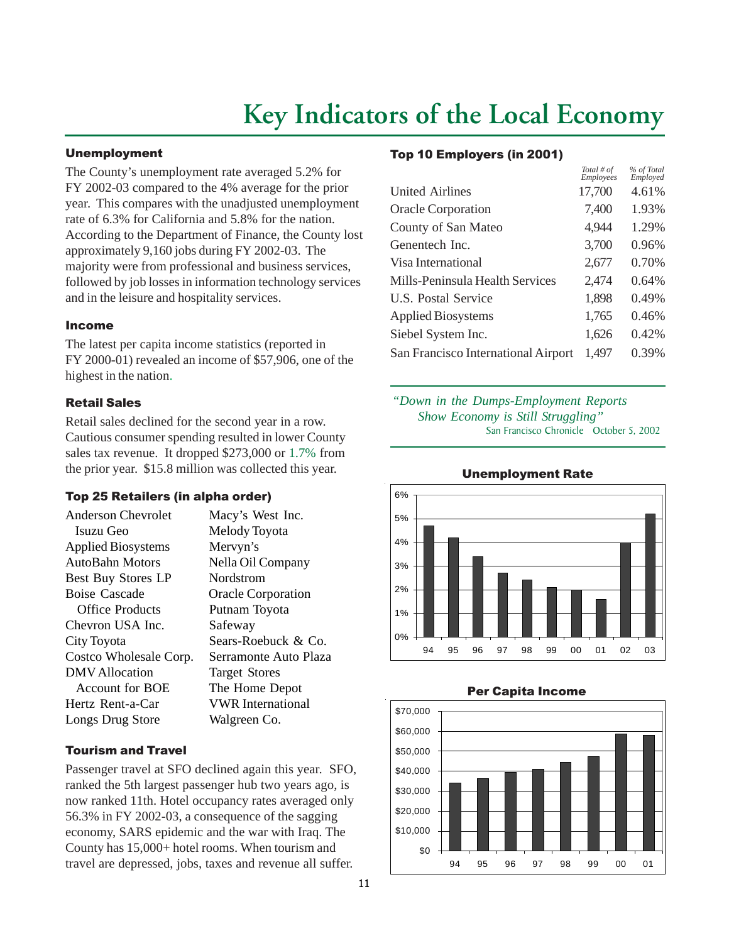## **Key Indicators of the Local Economy**

#### <span id="page-10-0"></span>Unemployment

The County's unemployment rate averaged 5.2% for FY 2002-03 compared to the 4% average for the prior year. This compares with the unadjusted unemployment rate of 6.3% for California and 5.8% for the nation. According to the Department of Finance, the County lost approximately 9,160 jobs during FY 2002-03. The majority were from professional and business services, followed by job losses in information technology services and in the leisure and hospitality services.

#### Income

The latest per capita income statistics (reported in FY 2000-01) revealed an income of \$57,906, one of the highest in the nation.

#### Retail Sales

Retail sales declined for the second year in a row. Cautious consumer spending resulted in lower County sales tax revenue. It dropped \$273,000 or 1.7% from the prior year. \$15.8 million was collected this year.

#### Top 25 Retailers (in alpha order)

| Anderson Chevrolet        | Macy's West Inc.          |
|---------------------------|---------------------------|
| Isuzu Geo                 | Melody Toyota             |
| <b>Applied Biosystems</b> | Mervyn's                  |
| <b>AutoBahn Motors</b>    | Nella Oil Company         |
| Best Buy Stores LP        | Nordstrom                 |
| Boise Cascade             | <b>Oracle Corporation</b> |
| <b>Office Products</b>    | Putnam Toyota             |
| Chevron USA Inc.          | Safeway                   |
| City Toyota               | Sears-Roebuck & Co.       |
| Costco Wholesale Corp.    | Serramonte Auto Plaza     |
| DMV Allocation            | <b>Target Stores</b>      |
| Account for BOE           | The Home Depot            |
| Hertz Rent-a-Car          | <b>VWR</b> International  |
| Longs Drug Store          | Walgreen Co.              |

#### Tourism and Travel

Passenger travel at SFO declined again this year. SFO, ranked the 5th largest passenger hub two years ago, is now ranked 11th. Hotel occupancy rates averaged only 56.3% in FY 2002-03, a consequence of the sagging economy, SARS epidemic and the war with Iraq. The County has 15,000+ hotel rooms. When tourism and travel are depressed, jobs, taxes and revenue all suffer.

#### Top 10 Employers (in 2001)

|                                     | Total # of<br>Employees | % of Total<br>Employed |
|-------------------------------------|-------------------------|------------------------|
| <b>United Airlines</b>              | 17,700                  | 4.61%                  |
| <b>Oracle Corporation</b>           | 7,400                   | 1.93%                  |
| County of San Mateo                 | 4,944                   | 1.29%                  |
| Genentech Inc.                      | 3,700                   | 0.96%                  |
| Visa International                  | 2,677                   | 0.70%                  |
| Mills-Peninsula Health Services     | 2,474                   | 0.64%                  |
| U.S. Postal Service                 | 1,898                   | 0.49%                  |
| <b>Applied Biosystems</b>           | 1,765                   | 0.46%                  |
| Siebel System Inc.                  | 1,626                   | 0.42%                  |
| San Francisco International Airport | 1,497                   | 0.39%                  |

### *"Down in the Dumps-Employment Reports Show Economy is Still Struggling"* San Francisco Chronicle October 5, 2002



Unemployment Rate

#### Per Capita Income

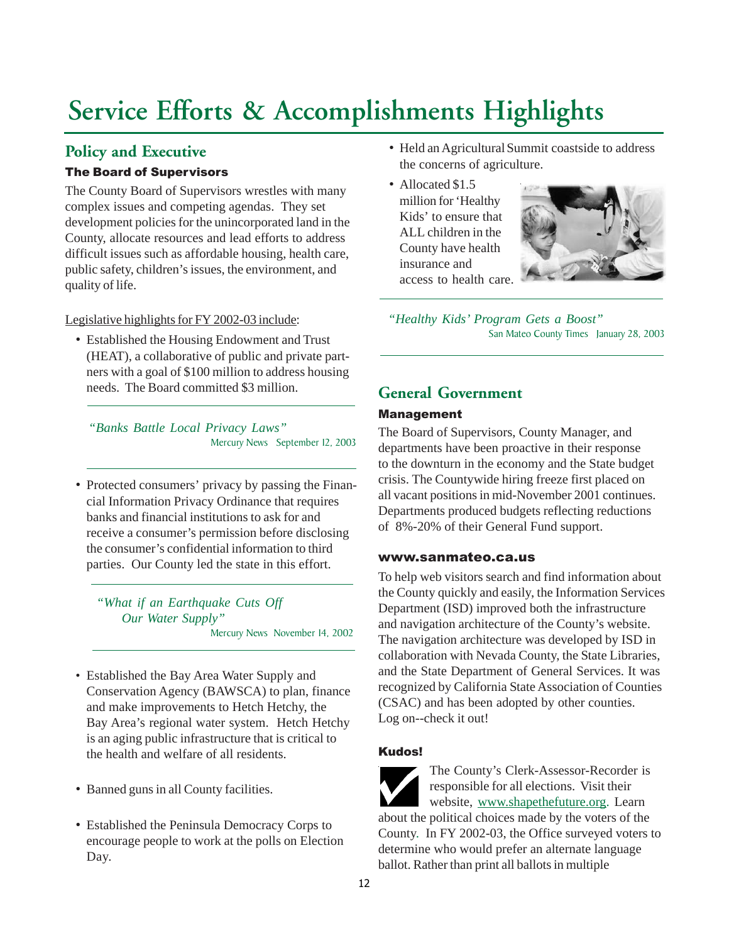## <span id="page-11-0"></span>**Policy and Executive**

## The Board of Supervisors

The County Board of Supervisors wrestles with many complex issues and competing agendas. They set development policies for the unincorporated land in the County, allocate resources and lead efforts to address difficult issues such as affordable housing, health care, public safety, children's issues, the environment, and quality of life.

### Legislative highlights for FY 2002-03 include:

• Established the Housing Endowment and Trust (HEAT), a collaborative of public and private partners with a goal of \$100 million to address housing needs. The Board committed \$3 million.

*"Banks Battle Local Privacy Laws"* Mercury News September 12, 2003

• Protected consumers' privacy by passing the Financial Information Privacy Ordinance that requires banks and financial institutions to ask for and receive a consumer's permission before disclosing the consumer's confidential information to third parties. Our County led the state in this effort.

*"What if an Earthquake Cuts Off Our Water Supply"* Mercury News November 14, 2002

- Established the Bay Area Water Supply and Conservation Agency (BAWSCA) to plan, finance and make improvements to Hetch Hetchy, the Bay Area's regional water system. Hetch Hetchy is an aging public infrastructure that is critical to the health and welfare of all residents.
- Banned guns in all County facilities.
- Established the Peninsula Democracy Corps to encourage people to work at the polls on Election Day.
- Held an Agricultural Summit coastside to address the concerns of agriculture.
- Allocated \$1.5 million for 'Healthy Kids' to ensure that ALL children in the County have health insurance and access to health care.



*"Healthy Kids' Program Gets a Boost"* San Mateo County Times January 28, 2003

## **General Government**

## Management

The Board of Supervisors, County Manager, and departments have been proactive in their response to the downturn in the economy and the State budget crisis. The Countywide hiring freeze first placed on all vacant positions in mid-November 2001 continues. Departments produced budgets reflecting reductions of 8%-20% of their General Fund support.

#### [www.sanmateo.ca.us](http://www.co.sanmateo.ca.us/)

To help web visitors search and find information about the County quickly and easily, the Information Services Department (ISD) improved both the infrastructure and navigation architecture of the County's website. The navigation architecture was developed by ISD in collaboration with Nevada County, the State Libraries, and the State Department of General Services. It was recognized by California State Association of Counties (CSAC) and has been adopted by other counties. Log on--check it out!

## Kudos!



The County's Clerk-Assessor-Recorder is responsible for all elections. Visit their website, [www.shapethefuture.org.](http://www.shapethefuture.org/) Learn about the political choices made by the voters of the County. In FY 2002-03, the Office surveyed voters to determine who would prefer an alternate language ballot. Rather than print all ballots in multiple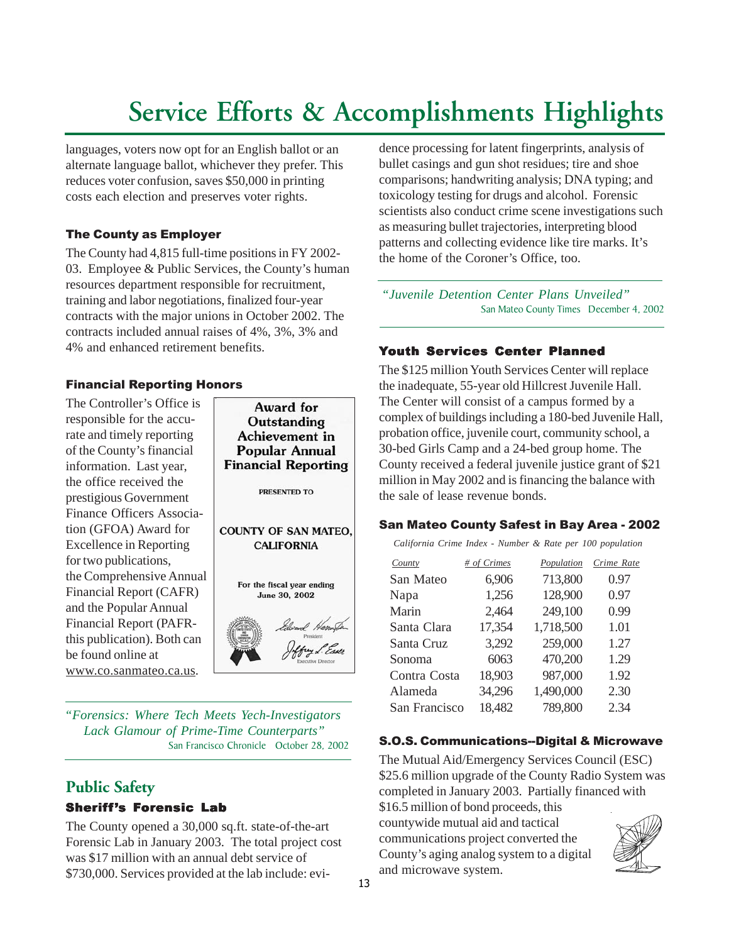languages, voters now opt for an English ballot or an alternate language ballot, whichever they prefer. This reduces voter confusion, saves \$50,000 in printing costs each election and preserves voter rights.

## The County as Employer

The County had 4,815 full-time positions in FY 2002- 03. Employee & Public Services, the County's human resources department responsible for recruitment, training and labor negotiations, finalized four-year contracts with the major unions in October 2002. The contracts included annual raises of 4%, 3%, 3% and 4% and enhanced retirement benefits.

## Financial Reporting Honors

The Controller's Office is responsible for the accurate and timely reporting of the County's financial information. Last year, the office received the prestigious Government Finance Officers Association (GFOA) Award for Excellence in Reporting for two publications, the Comprehensive Annual Financial Report (CAFR) and the Popular Annual Financial Report (PAFRthis publication). Both can be found online at [www.co.sanmateo.ca.us.](http://www.co.sanmateo.ca.us/)



*"Forensics: Where Tech Meets Yech-Investigators Lack Glamour of Prime-Time Counterparts"* San Francisco Chronicle October 28, 2002

## **Public Safety**

## Sheriff's Forensic Lab

The County opened a 30,000 sq.ft. state-of-the-art Forensic Lab in January 2003. The total project cost was \$17 million with an annual debt service of \$730,000. Services provided at the lab include: evidence processing for latent fingerprints, analysis of bullet casings and gun shot residues; tire and shoe comparisons; handwriting analysis; DNA typing; and toxicology testing for drugs and alcohol. Forensic scientists also conduct crime scene investigations such as measuring bullet trajectories, interpreting blood patterns and collecting evidence like tire marks. It's the home of the Coroner's Office, too.

*"Juvenile Detention Center Plans Unveiled"* San Mateo County Times December 4, 2002

## Youth Services Center Planned

The \$125 million Youth Services Center will replace the inadequate, 55-year old Hillcrest Juvenile Hall. The Center will consist of a campus formed by a complex of buildings including a 180-bed Juvenile Hall, probation office, juvenile court, community school, a 30-bed Girls Camp and a 24-bed group home. The County received a federal juvenile justice grant of \$21 million in May 2002 and is financing the balance with the sale of lease revenue bonds.

#### San Mateo County Safest in Bay Area - 2002

 *California Crime Index - Number & Rate per 100 population*

| # of Crimes  | Population    | Crime Rate |
|--------------|---------------|------------|
| 6,906        | 713,800       | 0.97       |
| 1,256        | 128,900       | 0.97       |
| 2,464        | 249,100       | 0.99       |
| 17,354       | 1,718,500     | 1.01       |
| 3,292        | 259,000       | 1.27       |
| 6063         | 470,200       | 1.29       |
| 18,903       | 987,000       | 1.92       |
| 34,296       | 1,490,000     | 2.30       |
| 18,482       | 789,800       | 2.34       |
| Contra Costa | San Francisco |            |

## S.O.S. Communications--Digital & Microwave

The Mutual Aid/Emergency Services Council (ESC) \$25.6 million upgrade of the County Radio System was completed in January 2003. Partially financed with

\$16.5 million of bond proceeds, this countywide mutual aid and tactical communications project converted the County's aging analog system to a digital and microwave system.

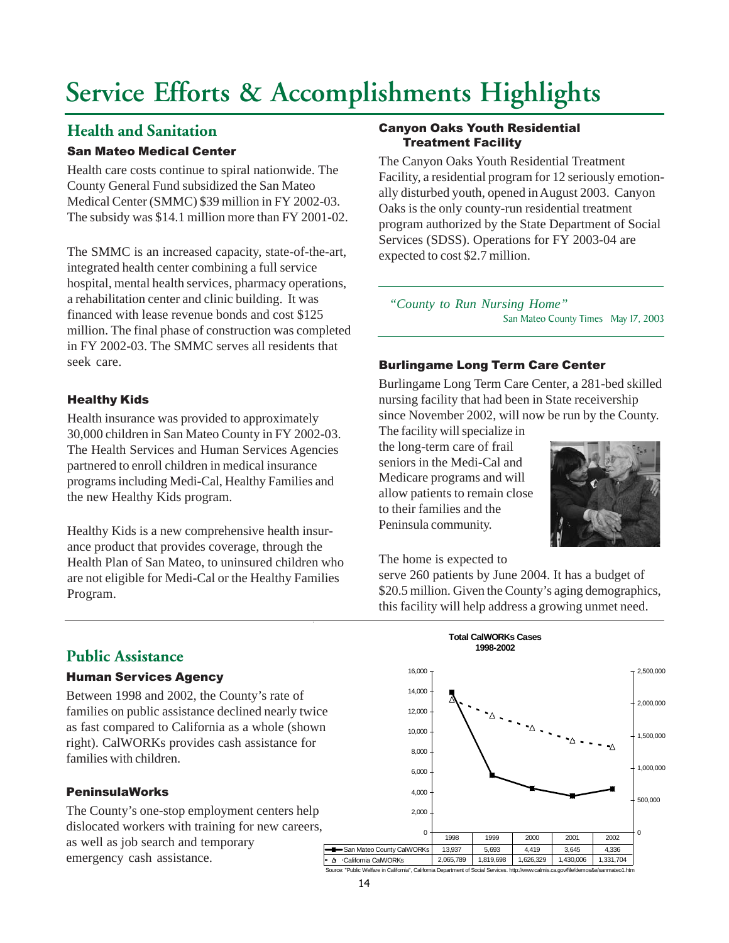## **Health and Sanitation**

## San Mateo Medical Center

Health care costs continue to spiral nationwide. The County General Fund subsidized the San Mateo Medical Center (SMMC) \$39 million in FY 2002-03. The subsidy was \$14.1 million more than FY 2001-02.

The SMMC is an increased capacity, state-of-the-art, integrated health center combining a full service hospital, mental health services, pharmacy operations, a rehabilitation center and clinic building. It was financed with lease revenue bonds and cost \$125 million. The final phase of construction was completed in FY 2002-03. The SMMC serves all residents that seek care.

## Healthy Kids

Health insurance was provided to approximately 30,000 children in San Mateo County in FY 2002-03. The Health Services and Human Services Agencies partnered to enroll children in medical insurance programs including Medi-Cal, Healthy Families and the new Healthy Kids program.

Healthy Kids is a new comprehensive health insurance product that provides coverage, through the Health Plan of San Mateo, to uninsured children who are not eligible for Medi-Cal or the Healthy Families Program.

#### Canyon Oaks Youth Residential Treatment Facility

Oaks is the only county-run residential treatment program authorized by the State Department of Social Services (SDSS). Operations for FY 2003-04 are<br>*oxported* to got \$2.7 million *departments* with  $\frac{d}{dx}$ The Canyon Oaks Youth Residential Treatment Facility, a residential program for 12 seriously emotionally disturbed youth, opened in August 2003. Canyon expected to cost \$2.7 million.

*following quarter. "County to Run Nursing Home"* San Mateo County Times May 17, 2003

## Burlingame Long Term Care Center

Burlingame Long Term Care Center, a 281-bed skilled nursing facility that had been in State receivership since November 2002, will now be run by the County.

The facility will specialize in the long-term care of frail seniors in the Medi-Cal and Medicare programs and will allow patients to remain close to their families and the Peninsula community.



The home is expected to

serve 260 patients by June 2004. It has a budget of \$20.5 million. Given the County's aging demographics, this facility will help address a growing unmet need.

## **Public Assistance**

### Human Services Agency

Between 1998 and 2002, the County's rate of families on public assistance declined nearly twice as fast compared to California as a whole (shown right). CalWORKs provides cash assistance for families with children.

## PeninsulaWorks

The County's one-stop employment centers help dislocated workers with training for new careers, as well as job search and temporary emergency cash assistance.

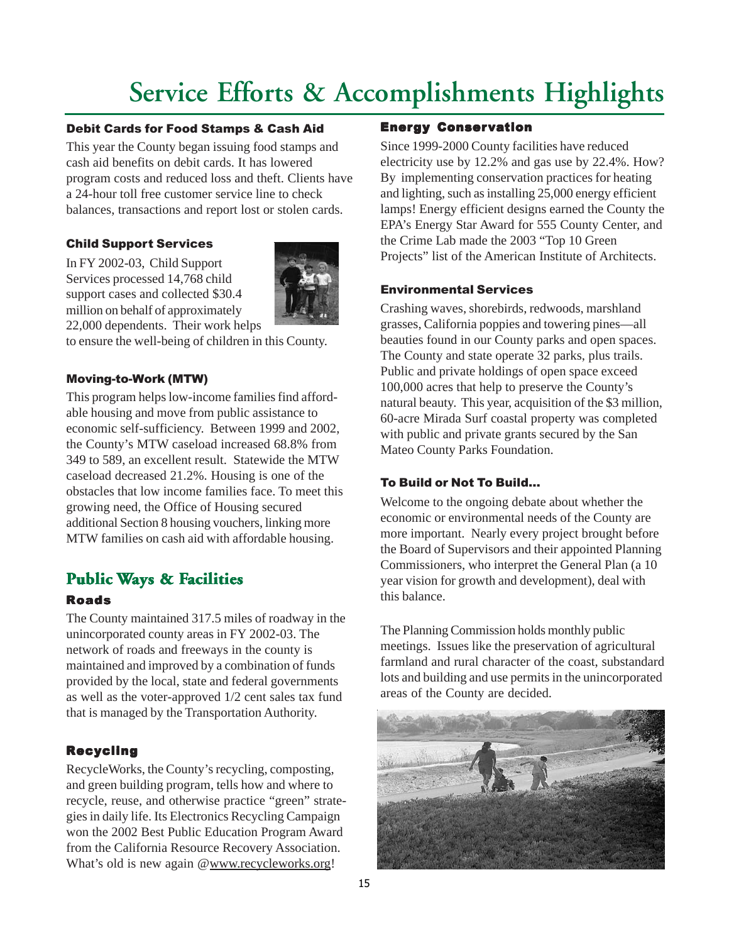### Debit Cards for Food Stamps & Cash Aid

This year the County began issuing food stamps and cash aid benefits on debit cards. It has lowered program costs and reduced loss and theft. Clients have a 24-hour toll free customer service line to check balances, transactions and report lost or stolen cards.

### Child Support Services

In FY 2002-03, Child Support Services processed 14,768 child support cases and collected \$30.4 million on behalf of approximately 22,000 dependents. Their work helps



to ensure the well-being of children in this County.

### Moving-to-Work (MTW)

This program helps low-income families find affordable housing and move from public assistance to economic self-sufficiency. Between 1999 and 2002, the County's MTW caseload increased 68.8% from 349 to 589, an excellent result. Statewide the MTW caseload decreased 21.2%. Housing is one of the obstacles that low income families face. To meet this growing need, the Office of Housing secured additional Section 8 housing vouchers, linking more MTW families on cash aid with affordable housing.

## **Public Ways & Facilities acilities**

## Roads

The County maintained 317.5 miles of roadway in the unincorporated county areas in FY 2002-03. The network of roads and freeways in the county is maintained and improved by a combination of funds provided by the local, state and federal governments as well as the voter-approved 1/2 cent sales tax fund that is managed by the Transportation Authority.

## Recycling

RecycleWorks, the County's recycling, composting, and green building program, tells how and where to recycle, reuse, and otherwise practice "green" strategies in daily life. Its Electronics Recycling Campaign won the 2002 Best Public Education Program Award from the California Resource Recovery Association. What's old is new again [@www.recycleworks.org!](http://www.recycleworks.org/)

### Energy Conservation

Since 1999-2000 County facilities have reduced electricity use by 12.2% and gas use by 22.4%. How? By implementing conservation practices for heating and lighting, such as installing 25,000 energy efficient lamps! Energy efficient designs earned the County the EPA's Energy Star Award for 555 County Center, and the Crime Lab made the 2003 "Top 10 Green Projects" list of the American Institute of Architects.

### Environmental Services

Crashing waves, shorebirds, redwoods, marshland grasses, California poppies and towering pines—all beauties found in our County parks and open spaces. The County and state operate 32 parks, plus trails. Public and private holdings of open space exceed 100,000 acres that help to preserve the County's natural beauty. This year, acquisition of the \$3 million, 60-acre Mirada Surf coastal property was completed with public and private grants secured by the San Mateo County Parks Foundation.

## To Build or Not To Build...

Welcome to the ongoing debate about whether the economic or environmental needs of the County are more important. Nearly every project brought before the Board of Supervisors and their appointed Planning Commissioners, who interpret the General Plan (a 10 year vision for growth and development), deal with this balance.

The Planning Commission holds monthly public meetings. Issues like the preservation of agricultural farmland and rural character of the coast, substandard lots and building and use permits in the unincorporated areas of the County are decided.